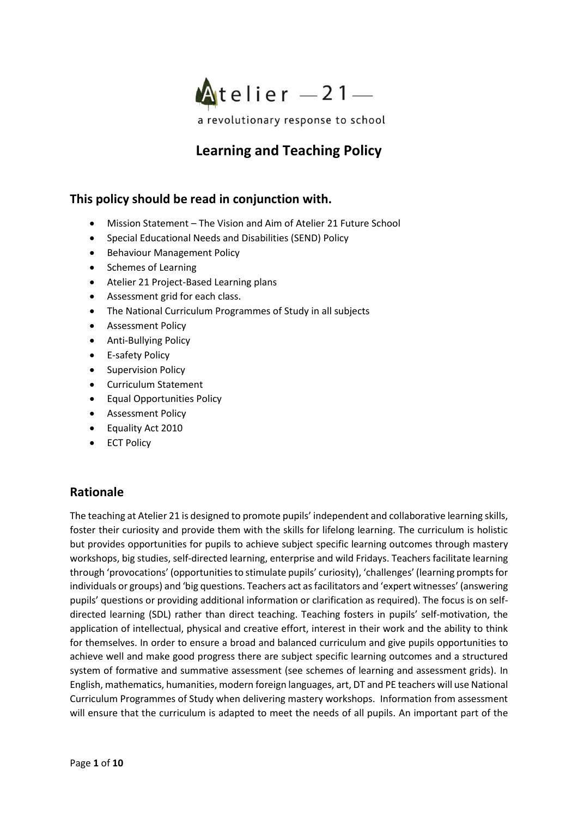

# **Learning and Teaching Policy**

### **This policy should be read in conjunction with.**

- Mission Statement The Vision and Aim of Atelier 21 Future School
- Special Educational Needs and Disabilities (SEND) Policy
- Behaviour Management Policy
- Schemes of Learning
- Atelier 21 Project-Based Learning plans
- Assessment grid for each class.
- The National Curriculum Programmes of Study in all subjects
- Assessment Policy
- Anti-Bullying Policy
- E-safety Policy
- Supervision Policy
- Curriculum Statement
- Equal Opportunities Policy
- Assessment Policy
- Equality Act 2010
- **ECT Policy**

### **Rationale**

The teaching at Atelier 21 is designed to promote pupils' independent and collaborative learning skills, foster their curiosity and provide them with the skills for lifelong learning. The curriculum is holistic but provides opportunities for pupils to achieve subject specific learning outcomes through mastery workshops, big studies, self-directed learning, enterprise and wild Fridays. Teachers facilitate learning through 'provocations' (opportunities to stimulate pupils' curiosity), 'challenges' (learning prompts for individuals or groups) and 'big questions. Teachers act as facilitators and 'expert witnesses' (answering pupils' questions or providing additional information or clarification as required). The focus is on selfdirected learning (SDL) rather than direct teaching. Teaching fosters in pupils' self-motivation, the application of intellectual, physical and creative effort, interest in their work and the ability to think for themselves. In order to ensure a broad and balanced curriculum and give pupils opportunities to achieve well and make good progress there are subject specific learning outcomes and a structured system of formative and summative assessment (see schemes of learning and assessment grids). In English, mathematics, humanities, modern foreign languages, art, DT and PE teachers will use National Curriculum Programmes of Study when delivering mastery workshops. Information from assessment will ensure that the curriculum is adapted to meet the needs of all pupils. An important part of the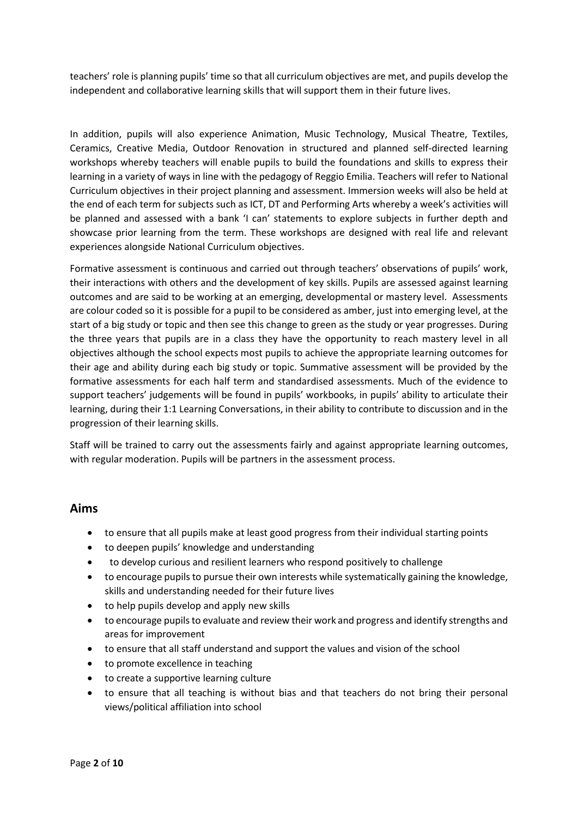teachers' role is planning pupils' time so that all curriculum objectives are met, and pupils develop the independent and collaborative learning skills that will support them in their future lives.

In addition, pupils will also experience Animation, Music Technology, Musical Theatre, Textiles, Ceramics, Creative Media, Outdoor Renovation in structured and planned self-directed learning workshops whereby teachers will enable pupils to build the foundations and skills to express their learning in a variety of ways in line with the pedagogy of Reggio Emilia. Teachers will refer to National Curriculum objectives in their project planning and assessment. Immersion weeks will also be held at the end of each term for subjects such as ICT, DT and Performing Arts whereby a week's activities will be planned and assessed with a bank 'I can' statements to explore subjects in further depth and showcase prior learning from the term. These workshops are designed with real life and relevant experiences alongside National Curriculum objectives.

Formative assessment is continuous and carried out through teachers' observations of pupils' work, their interactions with others and the development of key skills. Pupils are assessed against learning outcomes and are said to be working at an emerging, developmental or mastery level. Assessments are colour coded so it is possible for a pupil to be considered as amber, just into emerging level, at the start of a big study or topic and then see this change to green as the study or year progresses. During the three years that pupils are in a class they have the opportunity to reach mastery level in all objectives although the school expects most pupils to achieve the appropriate learning outcomes for their age and ability during each big study or topic. Summative assessment will be provided by the formative assessments for each half term and standardised assessments. Much of the evidence to support teachers' judgements will be found in pupils' workbooks, in pupils' ability to articulate their learning, during their 1:1 Learning Conversations, in their ability to contribute to discussion and in the progression of their learning skills.

Staff will be trained to carry out the assessments fairly and against appropriate learning outcomes, with regular moderation. Pupils will be partners in the assessment process.

### **Aims**

- to ensure that all pupils make at least good progress from their individual starting points
- to deepen pupils' knowledge and understanding
- to develop curious and resilient learners who respond positively to challenge
- to encourage pupils to pursue their own interests while systematically gaining the knowledge, skills and understanding needed for their future lives
- to help pupils develop and apply new skills
- to encourage pupils to evaluate and review their work and progress and identify strengths and areas for improvement
- to ensure that all staff understand and support the values and vision of the school
- to promote excellence in teaching
- to create a supportive learning culture
- to ensure that all teaching is without bias and that teachers do not bring their personal views/political affiliation into school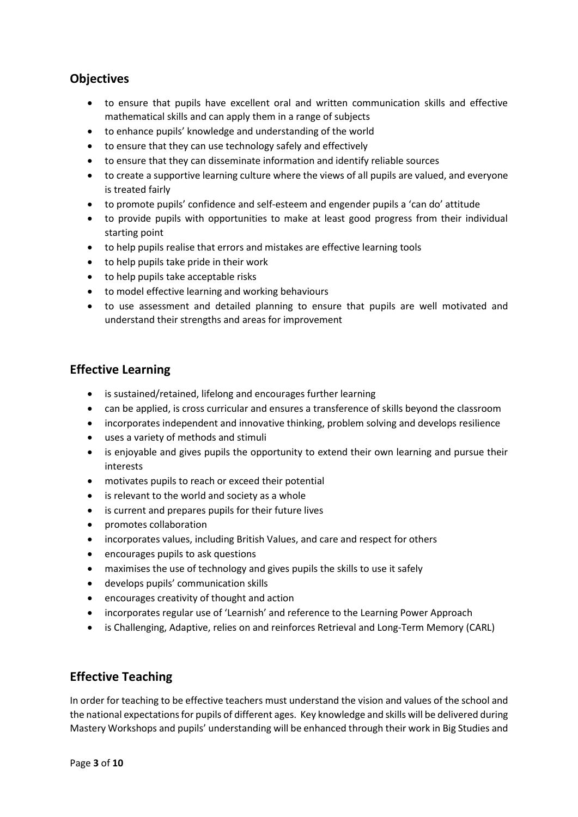### **Objectives**

- to ensure that pupils have excellent oral and written communication skills and effective mathematical skills and can apply them in a range of subjects
- to enhance pupils' knowledge and understanding of the world
- to ensure that they can use technology safely and effectively
- to ensure that they can disseminate information and identify reliable sources
- to create a supportive learning culture where the views of all pupils are valued, and everyone is treated fairly
- to promote pupils' confidence and self-esteem and engender pupils a 'can do' attitude
- to provide pupils with opportunities to make at least good progress from their individual starting point
- to help pupils realise that errors and mistakes are effective learning tools
- to help pupils take pride in their work
- to help pupils take acceptable risks
- to model effective learning and working behaviours
- to use assessment and detailed planning to ensure that pupils are well motivated and understand their strengths and areas for improvement

### **Effective Learning**

- is sustained/retained, lifelong and encourages further learning
- can be applied, is cross curricular and ensures a transference of skills beyond the classroom
- incorporates independent and innovative thinking, problem solving and develops resilience
- uses a variety of methods and stimuli
- is enjoyable and gives pupils the opportunity to extend their own learning and pursue their interests
- motivates pupils to reach or exceed their potential
- is relevant to the world and society as a whole
- is current and prepares pupils for their future lives
- promotes collaboration
- incorporates values, including British Values, and care and respect for others
- encourages pupils to ask questions
- maximises the use of technology and gives pupils the skills to use it safely
- develops pupils' communication skills
- encourages creativity of thought and action
- incorporates regular use of 'Learnish' and reference to the Learning Power Approach
- is Challenging, Adaptive, relies on and reinforces Retrieval and Long-Term Memory (CARL)

### **Effective Teaching**

In order for teaching to be effective teachers must understand the vision and values of the school and the national expectations for pupils of different ages. Key knowledge and skills will be delivered during Mastery Workshops and pupils' understanding will be enhanced through their work in Big Studies and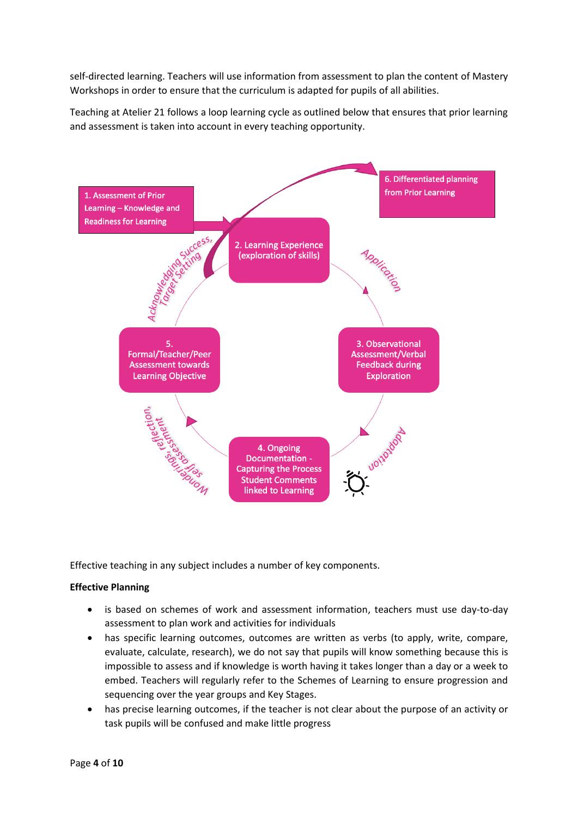self-directed learning. Teachers will use information from assessment to plan the content of Mastery Workshops in order to ensure that the curriculum is adapted for pupils of all abilities.

Teaching at Atelier 21 follows a loop learning cycle as outlined below that ensures that prior learning and assessment is taken into account in every teaching opportunity.



Effective teaching in any subject includes a number of key components.

### **Effective Planning**

- is based on schemes of work and assessment information, teachers must use day-to-day assessment to plan work and activities for individuals
- has specific learning outcomes, outcomes are written as verbs (to apply, write, compare, evaluate, calculate, research), we do not say that pupils will know something because this is impossible to assess and if knowledge is worth having it takes longer than a day or a week to embed. Teachers will regularly refer to the Schemes of Learning to ensure progression and sequencing over the year groups and Key Stages.
- has precise learning outcomes, if the teacher is not clear about the purpose of an activity or task pupils will be confused and make little progress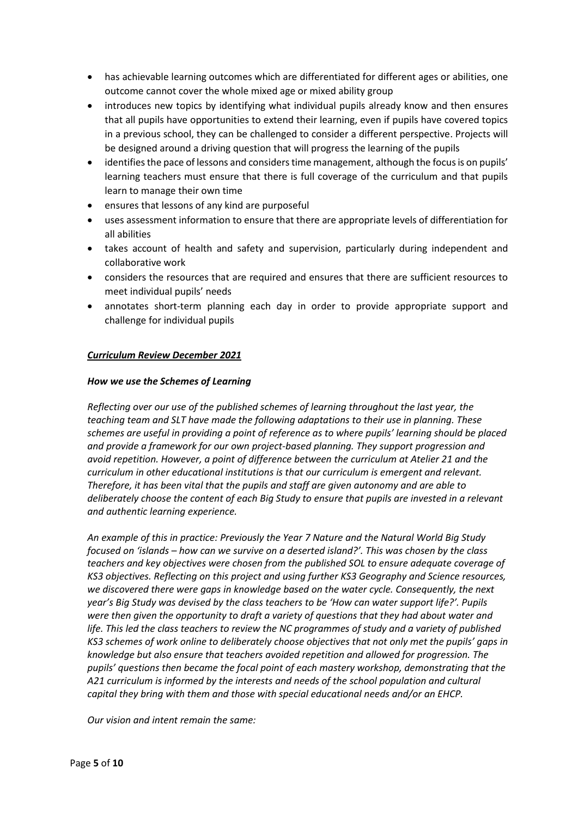- has achievable learning outcomes which are differentiated for different ages or abilities, one outcome cannot cover the whole mixed age or mixed ability group
- introduces new topics by identifying what individual pupils already know and then ensures that all pupils have opportunities to extend their learning, even if pupils have covered topics in a previous school, they can be challenged to consider a different perspective. Projects will be designed around a driving question that will progress the learning of the pupils
- identifies the pace of lessons and considers time management, although the focus is on pupils' learning teachers must ensure that there is full coverage of the curriculum and that pupils learn to manage their own time
- ensures that lessons of any kind are purposeful
- uses assessment information to ensure that there are appropriate levels of differentiation for all abilities
- takes account of health and safety and supervision, particularly during independent and collaborative work
- considers the resources that are required and ensures that there are sufficient resources to meet individual pupils' needs
- annotates short-term planning each day in order to provide appropriate support and challenge for individual pupils

#### *Curriculum Review December 2021*

#### *How we use the Schemes of Learning*

*Reflecting over our use of the published schemes of learning throughout the last year, the teaching team and SLT have made the following adaptations to their use in planning. These schemes are useful in providing a point of reference as to where pupils' learning should be placed and provide a framework for our own project-based planning. They support progression and avoid repetition. However, a point of difference between the curriculum at Atelier 21 and the curriculum in other educational institutions is that our curriculum is emergent and relevant. Therefore, it has been vital that the pupils and staff are given autonomy and are able to deliberately choose the content of each Big Study to ensure that pupils are invested in a relevant and authentic learning experience.*

*An example of this in practice: Previously the Year 7 Nature and the Natural World Big Study focused on 'islands – how can we survive on a deserted island?'. This was chosen by the class teachers and key objectives were chosen from the published SOL to ensure adequate coverage of KS3 objectives. Reflecting on this project and using further KS3 Geography and Science resources, we discovered there were gaps in knowledge based on the water cycle. Consequently, the next year's Big Study was devised by the class teachers to be 'How can water support life?'. Pupils were then given the opportunity to draft a variety of questions that they had about water and life. This led the class teachers to review the NC programmes of study and a variety of published KS3 schemes of work online to deliberately choose objectives that not only met the pupils' gaps in knowledge but also ensure that teachers avoided repetition and allowed for progression. The pupils' questions then became the focal point of each mastery workshop, demonstrating that the A21 curriculum is informed by the interests and needs of the school population and cultural capital they bring with them and those with special educational needs and/or an EHCP.*

*Our vision and intent remain the same:*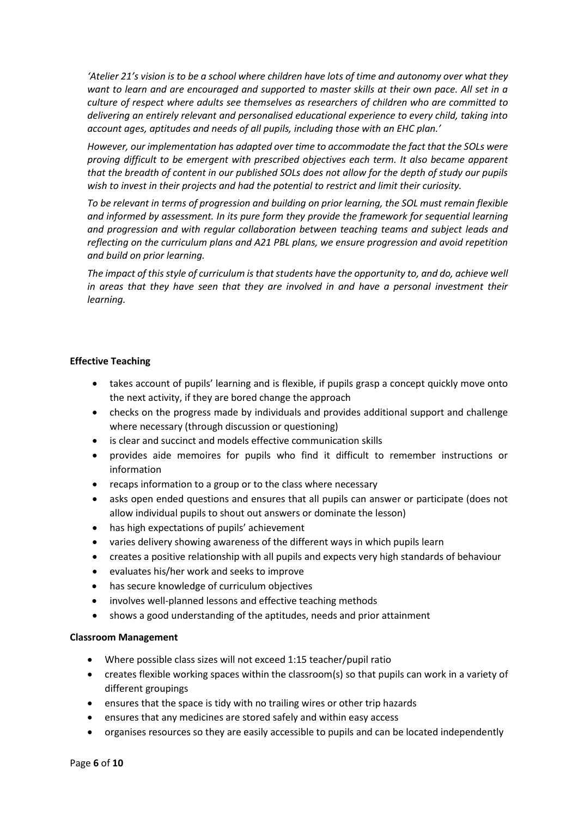*'Atelier 21's vision is to be a school where children have lots of time and autonomy over what they want to learn and are encouraged and supported to master skills at their own pace. All set in a culture of respect where adults see themselves as researchers of children who are committed to delivering an entirely relevant and personalised educational experience to every child, taking into account ages, aptitudes and needs of all pupils, including those with an EHC plan.'*

*However, our implementation has adapted over time to accommodate the fact that the SOLs were proving difficult to be emergent with prescribed objectives each term. It also became apparent that the breadth of content in our published SOLs does not allow for the depth of study our pupils wish to invest in their projects and had the potential to restrict and limit their curiosity.*

*To be relevant in terms of progression and building on prior learning, the SOL must remain flexible and informed by assessment. In its pure form they provide the framework for sequential learning and progression and with regular collaboration between teaching teams and subject leads and reflecting on the curriculum plans and A21 PBL plans, we ensure progression and avoid repetition and build on prior learning.*

*The impact of this style of curriculum is that students have the opportunity to, and do, achieve well in areas that they have seen that they are involved in and have a personal investment their learning.* 

#### **Effective Teaching**

- takes account of pupils' learning and is flexible, if pupils grasp a concept quickly move onto the next activity, if they are bored change the approach
- checks on the progress made by individuals and provides additional support and challenge where necessary (through discussion or questioning)
- is clear and succinct and models effective communication skills
- provides aide memoires for pupils who find it difficult to remember instructions or information
- recaps information to a group or to the class where necessary
- asks open ended questions and ensures that all pupils can answer or participate (does not allow individual pupils to shout out answers or dominate the lesson)
- has high expectations of pupils' achievement
- varies delivery showing awareness of the different ways in which pupils learn
- creates a positive relationship with all pupils and expects very high standards of behaviour
- evaluates his/her work and seeks to improve
- has secure knowledge of curriculum objectives
- involves well-planned lessons and effective teaching methods
- shows a good understanding of the aptitudes, needs and prior attainment

#### **Classroom Management**

- Where possible class sizes will not exceed 1:15 teacher/pupil ratio
- creates flexible working spaces within the classroom(s) so that pupils can work in a variety of different groupings
- ensures that the space is tidy with no trailing wires or other trip hazards
- ensures that any medicines are stored safely and within easy access
- organises resources so they are easily accessible to pupils and can be located independently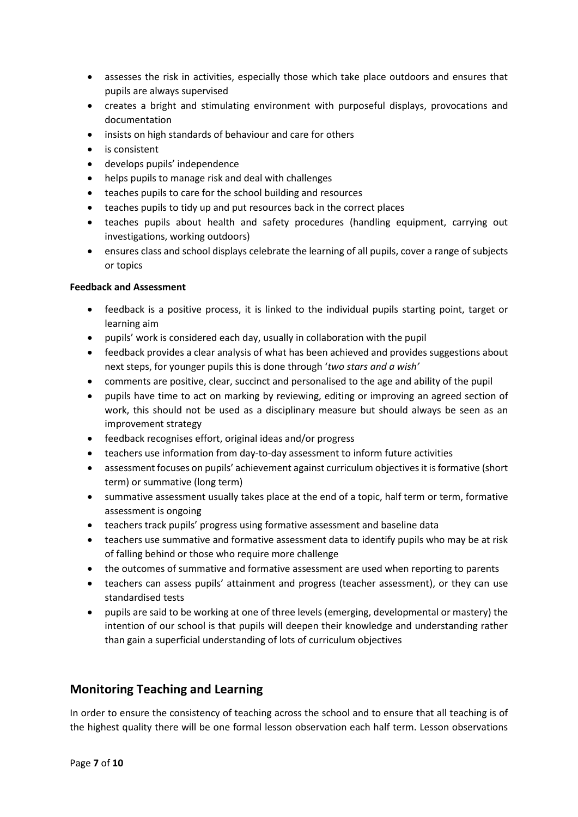- assesses the risk in activities, especially those which take place outdoors and ensures that pupils are always supervised
- creates a bright and stimulating environment with purposeful displays, provocations and documentation
- insists on high standards of behaviour and care for others
- is consistent
- develops pupils' independence
- helps pupils to manage risk and deal with challenges
- teaches pupils to care for the school building and resources
- teaches pupils to tidy up and put resources back in the correct places
- teaches pupils about health and safety procedures (handling equipment, carrying out investigations, working outdoors)
- ensures class and school displays celebrate the learning of all pupils, cover a range of subjects or topics

#### **Feedback and Assessment**

- feedback is a positive process, it is linked to the individual pupils starting point, target or learning aim
- pupils' work is considered each day, usually in collaboration with the pupil
- feedback provides a clear analysis of what has been achieved and provides suggestions about next steps, for younger pupils this is done through '*two stars and a wish'*
- comments are positive, clear, succinct and personalised to the age and ability of the pupil
- pupils have time to act on marking by reviewing, editing or improving an agreed section of work, this should not be used as a disciplinary measure but should always be seen as an improvement strategy
- feedback recognises effort, original ideas and/or progress
- teachers use information from day-to-day assessment to inform future activities
- assessment focuses on pupils' achievement against curriculum objectives it is formative (short term) or summative (long term)
- summative assessment usually takes place at the end of a topic, half term or term, formative assessment is ongoing
- teachers track pupils' progress using formative assessment and baseline data
- teachers use summative and formative assessment data to identify pupils who may be at risk of falling behind or those who require more challenge
- the outcomes of summative and formative assessment are used when reporting to parents
- teachers can assess pupils' attainment and progress (teacher assessment), or they can use standardised tests
- pupils are said to be working at one of three levels (emerging, developmental or mastery) the intention of our school is that pupils will deepen their knowledge and understanding rather than gain a superficial understanding of lots of curriculum objectives

### **Monitoring Teaching and Learning**

In order to ensure the consistency of teaching across the school and to ensure that all teaching is of the highest quality there will be one formal lesson observation each half term. Lesson observations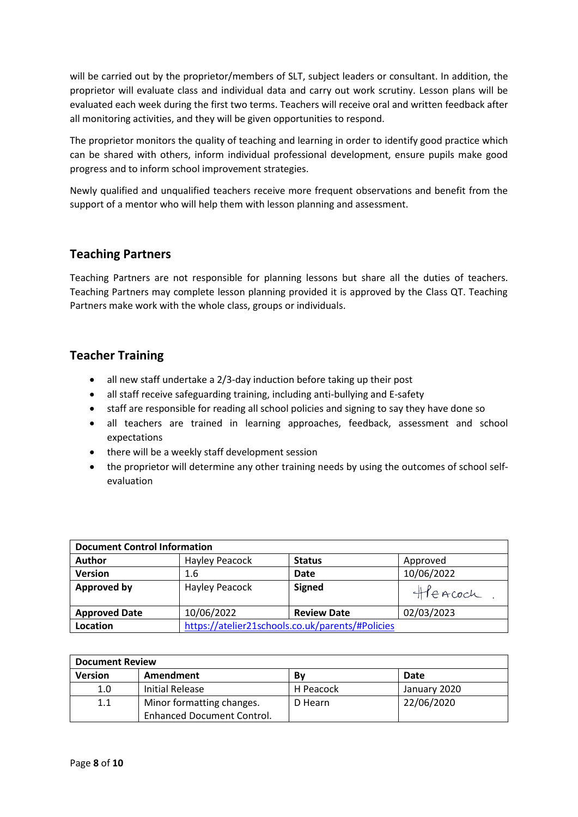will be carried out by the proprietor/members of SLT, subject leaders or consultant. In addition, the proprietor will evaluate class and individual data and carry out work scrutiny. Lesson plans will be evaluated each week during the first two terms. Teachers will receive oral and written feedback after all monitoring activities, and they will be given opportunities to respond.

The proprietor monitors the quality of teaching and learning in order to identify good practice which can be shared with others, inform individual professional development, ensure pupils make good progress and to inform school improvement strategies.

Newly qualified and unqualified teachers receive more frequent observations and benefit from the support of a mentor who will help them with lesson planning and assessment.

### **Teaching Partners**

Teaching Partners are not responsible for planning lessons but share all the duties of teachers. Teaching Partners may complete lesson planning provided it is approved by the Class QT. Teaching Partners make work with the whole class, groups or individuals.

## **Teacher Training**

- all new staff undertake a 2/3-day induction before taking up their post
- all staff receive safeguarding training, including anti-bullying and E-safety
- staff are responsible for reading all school policies and signing to say they have done so
- all teachers are trained in learning approaches, feedback, assessment and school expectations
- there will be a weekly staff development session
- the proprietor will determine any other training needs by using the outcomes of school selfevaluation

| <b>Document Control Information</b> |                                                  |                    |            |  |  |
|-------------------------------------|--------------------------------------------------|--------------------|------------|--|--|
| <b>Author</b>                       | Hayley Peacock                                   | <b>Status</b>      | Approved   |  |  |
| <b>Version</b>                      | 1.6                                              | <b>Date</b>        | 10/06/2022 |  |  |
| <b>Approved by</b>                  | <b>Hayley Peacock</b>                            | <b>Signed</b>      | Heacoch    |  |  |
| <b>Approved Date</b>                | 10/06/2022                                       | <b>Review Date</b> | 02/03/2023 |  |  |
| Location                            | https://atelier21schools.co.uk/parents/#Policies |                    |            |  |  |

| <b>Document Review</b> |                                   |           |              |  |  |
|------------------------|-----------------------------------|-----------|--------------|--|--|
| <b>Version</b>         | Amendment                         | B٧        | Date         |  |  |
| 1.0                    | <b>Initial Release</b>            | H Peacock | January 2020 |  |  |
| 1.1                    | Minor formatting changes.         | D Hearn   | 22/06/2020   |  |  |
|                        | <b>Enhanced Document Control.</b> |           |              |  |  |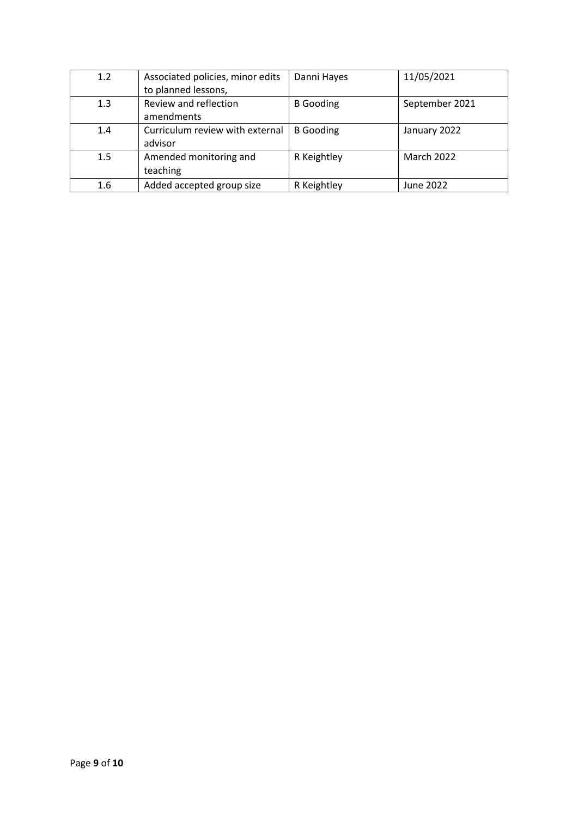| 1.2 | Associated policies, minor edits | Danni Hayes      | 11/05/2021     |
|-----|----------------------------------|------------------|----------------|
|     | to planned lessons,              |                  |                |
| 1.3 | Review and reflection            | <b>B</b> Gooding | September 2021 |
|     | amendments                       |                  |                |
| 1.4 | Curriculum review with external  | <b>B</b> Gooding | January 2022   |
|     | advisor                          |                  |                |
| 1.5 | Amended monitoring and           | R Keightley      | March 2022     |
|     | teaching                         |                  |                |
| 1.6 | Added accepted group size        | R Keightley      | June 2022      |